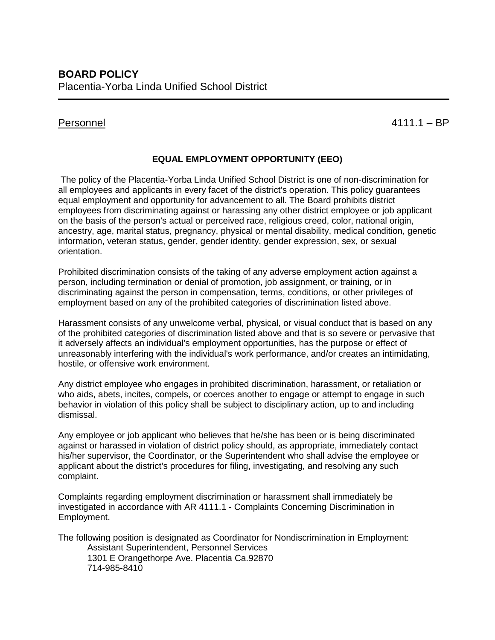Personnel 4111.1 – BP

# **EQUAL EMPLOYMENT OPPORTUNITY (EEO)**

The policy of the Placentia-Yorba Linda Unified School District is one of non-discrimination for all employees and applicants in every facet of the district's operation. This policy guarantees equal employment and opportunity for advancement to all. The Board prohibits district employees from discriminating against or harassing any other district employee or job applicant on the basis of the person's actual or perceived race, religious creed, color, national origin, ancestry, age, marital status, pregnancy, physical or mental disability, medical condition, genetic information, veteran status, gender, gender identity, gender expression, sex, or sexual orientation.

Prohibited discrimination consists of the taking of any adverse employment action against a person, including termination or denial of promotion, job assignment, or training, or in discriminating against the person in compensation, terms, conditions, or other privileges of employment based on any of the prohibited categories of discrimination listed above.

Harassment consists of any unwelcome verbal, physical, or visual conduct that is based on any of the prohibited categories of discrimination listed above and that is so severe or pervasive that it adversely affects an individual's employment opportunities, has the purpose or effect of unreasonably interfering with the individual's work performance, and/or creates an intimidating, hostile, or offensive work environment.

Any district employee who engages in prohibited discrimination, harassment, or retaliation or who aids, abets, incites, compels, or coerces another to engage or attempt to engage in such behavior in violation of this policy shall be subject to disciplinary action, up to and including dismissal.

Any employee or job applicant who believes that he/she has been or is being discriminated against or harassed in violation of district policy should, as appropriate, immediately contact his/her supervisor, the Coordinator, or the Superintendent who shall advise the employee or applicant about the district's procedures for filing, investigating, and resolving any such complaint.

Complaints regarding employment discrimination or harassment shall immediately be investigated in accordance with AR 4111.1 - Complaints Concerning Discrimination in Employment.

The following position is designated as Coordinator for Nondiscrimination in Employment: Assistant Superintendent, Personnel Services 1301 E Orangethorpe Ave. Placentia Ca.92870 714-985-8410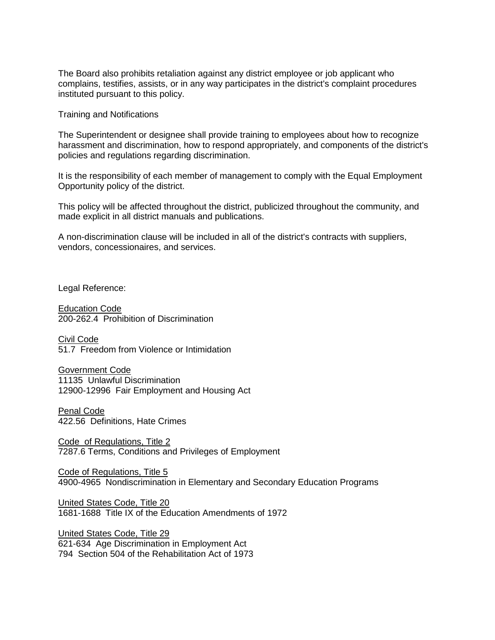The Board also prohibits retaliation against any district employee or job applicant who complains, testifies, assists, or in any way participates in the district's complaint procedures instituted pursuant to this policy.

Training and Notifications

The Superintendent or designee shall provide training to employees about how to recognize harassment and discrimination, how to respond appropriately, and components of the district's policies and regulations regarding discrimination.

It is the responsibility of each member of management to comply with the Equal Employment Opportunity policy of the district.

This policy will be affected throughout the district, publicized throughout the community, and made explicit in all district manuals and publications.

A non-discrimination clause will be included in all of the district's contracts with suppliers, vendors, concessionaires, and services.

Legal Reference:

Education Code 200-262.4 Prohibition of Discrimination

Civil Code 51.7 Freedom from Violence or Intimidation

Government Code 11135 Unlawful Discrimination 12900-12996 Fair Employment and Housing Act

Penal Code 422.56 Definitions, Hate Crimes

Code of Regulations, Title 2 7287.6 Terms, Conditions and Privileges of Employment

Code of Regulations, Title 5 4900-4965 Nondiscrimination in Elementary and Secondary Education Programs

United States Code, Title 20 1681-1688 Title IX of the Education Amendments of 1972

United States Code, Title 29 621-634 Age Discrimination in Employment Act 794 Section 504 of the Rehabilitation Act of 1973